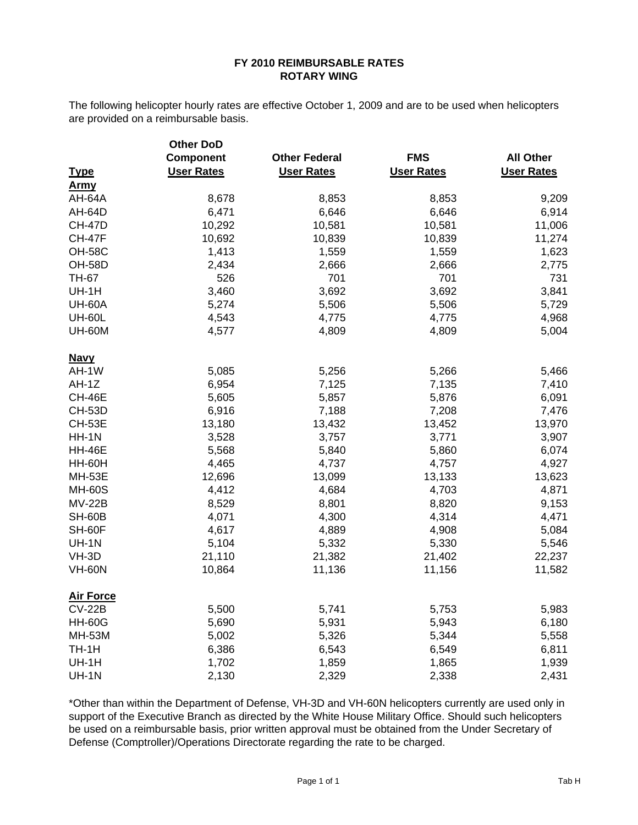## **FY 2010 REIMBURSABLE RATES ROTARY WING**

The following helicopter hourly rates are effective October 1, 2009 and are to be used when helicopters are provided on a reimbursable basis.

|                  | <b>Other DoD</b>  |                      |                   |                   |  |
|------------------|-------------------|----------------------|-------------------|-------------------|--|
|                  | <b>Component</b>  | <b>Other Federal</b> | <b>FMS</b>        | <b>All Other</b>  |  |
| <b>Type</b>      | <b>User Rates</b> | <b>User Rates</b>    | <b>User Rates</b> | <b>User Rates</b> |  |
| <b>Army</b>      |                   |                      |                   |                   |  |
| AH-64A           | 8,678             | 8,853                | 8,853             | 9,209             |  |
| <b>AH-64D</b>    | 6,471             | 6,646                | 6,646             | 6,914             |  |
| <b>CH-47D</b>    | 10,292            | 10,581               | 10,581            | 11,006            |  |
| <b>CH-47F</b>    | 10,692            | 10,839               | 10,839            | 11,274            |  |
| <b>OH-58C</b>    | 1,413             | 1,559                | 1,559             | 1,623             |  |
| <b>OH-58D</b>    | 2,434             | 2,666                | 2,666             | 2,775             |  |
| <b>TH-67</b>     | 526               | 701                  | 701               | 731               |  |
| UH-1H            | 3,460             | 3,692                | 3,692             | 3,841             |  |
| <b>UH-60A</b>    | 5,274             | 5,506                | 5,506             | 5,729             |  |
| <b>UH-60L</b>    | 4,543             | 4,775                | 4,775             | 4,968             |  |
| <b>UH-60M</b>    | 4,577             | 4,809                | 4,809             | 5,004             |  |
| <b>Navy</b>      |                   |                      |                   |                   |  |
| AH-1W            | 5,085             | 5,256                | 5,266             | 5,466             |  |
| $AH-1Z$          | 6,954             | 7,125                | 7,135             | 7,410             |  |
| <b>CH-46E</b>    | 5,605             | 5,857                | 5,876             | 6,091             |  |
| <b>CH-53D</b>    | 6,916             | 7,188                | 7,208             | 7,476             |  |
| <b>CH-53E</b>    | 13,180            | 13,432               | 13,452            | 13,970            |  |
| $HH-1N$          | 3,528             | 3,757                | 3,771             | 3,907             |  |
| <b>HH-46E</b>    | 5,568             | 5,840                | 5,860             | 6,074             |  |
| <b>HH-60H</b>    | 4,465             | 4,737                | 4,757             | 4,927             |  |
| <b>MH-53E</b>    | 12,696            | 13,099               | 13,133            | 13,623            |  |
| <b>MH-60S</b>    | 4,412             | 4,684                | 4,703             | 4,871             |  |
| <b>MV-22B</b>    | 8,529             | 8,801                | 8,820             | 9,153             |  |
| <b>SH-60B</b>    | 4,071             | 4,300                | 4,314             | 4,471             |  |
| SH-60F           | 4,617             | 4,889                | 4,908             | 5,084             |  |
| <b>UH-1N</b>     | 5,104             | 5,332                | 5,330             | 5,546             |  |
| VH-3D            | 21,110            | 21,382               | 21,402            | 22,237            |  |
| <b>VH-60N</b>    | 10,864            | 11,136               | 11,156            | 11,582            |  |
| <b>Air Force</b> |                   |                      |                   |                   |  |
| <b>CV-22B</b>    | 5,500             | 5,741                | 5,753             | 5,983             |  |
| <b>HH-60G</b>    | 5,690             | 5,931                | 5,943             | 6,180             |  |
| <b>MH-53M</b>    | 5,002             | 5,326                | 5,344             | 5,558             |  |
| TH-1H            | 6,386             | 6,543                | 6,549             | 6,811             |  |
| UH-1H            | 1,702             | 1,859                | 1,865             | 1,939             |  |
| <b>UH-1N</b>     | 2,130             | 2,329                | 2,338             | 2,431             |  |

\*Other than within the Department of Defense, VH-3D and VH-60N helicopters currently are used only in support of the Executive Branch as directed by the White House Military Office. Should such helicopters be used on a reimbursable basis, prior written approval must be obtained from the Under Secretary of Defense (Comptroller)/Operations Directorate regarding the rate to be charged.